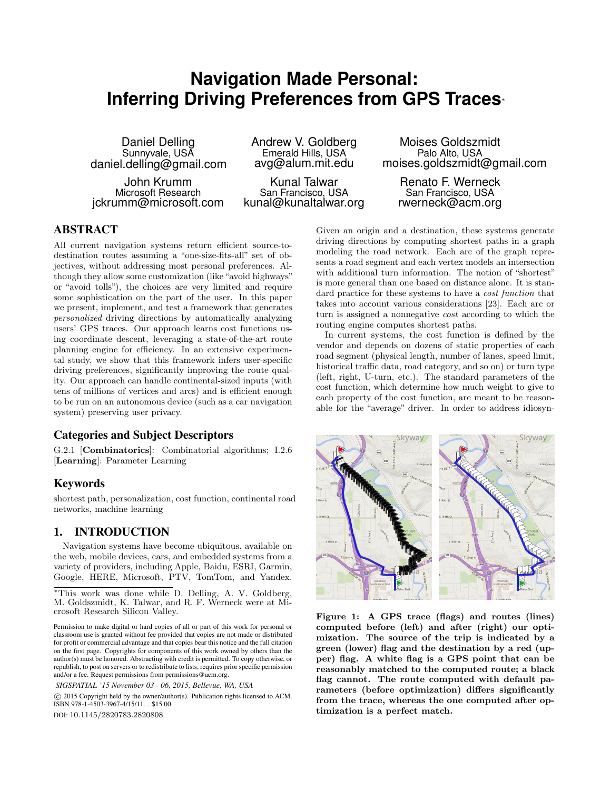# **Navigation Made Personal: Inferring Driving Preferences from GPS Traces**<sup>∗</sup>

Daniel Delling Sunnyvale, USA daniel.delling@gmail.com

John Krumm Microsoft Research jckrumm@microsoft.com Andrew V. Goldberg Emerald Hills, USA avg@alum.mit.edu

Kunal Talwar San Francisco, USA kunal@kunaltalwar.org

Moises Goldszmidt Palo Alto, USA moises.goldszmidt@gmail.com

Renato F. Werneck San Francisco, USA rwerneck@acm.org

## ABSTRACT

All current navigation systems return efficient source-todestination routes assuming a "one-size-fits-all" set of objectives, without addressing most personal preferences. Although they allow some customization (like "avoid highways" or "avoid tolls"), the choices are very limited and require some sophistication on the part of the user. In this paper we present, implement, and test a framework that generates personalized driving directions by automatically analyzing users' GPS traces. Our approach learns cost functions using coordinate descent, leveraging a state-of-the-art route planning engine for efficiency. In an extensive experimental study, we show that this framework infers user-specific driving preferences, significantly improving the route quality. Our approach can handle continental-sized inputs (with tens of millions of vertices and arcs) and is efficient enough to be run on an autonomous device (such as a car navigation system) preserving user privacy.

## Categories and Subject Descriptors

G.2.1 [Combinatorics]: Combinatorial algorithms; I.2.6 [Learning]: Parameter Learning

## Keywords

shortest path, personalization, cost function, continental road networks, machine learning

## 1. INTRODUCTION

Navigation systems have become ubiquitous, available on the web, mobile devices, cars, and embedded systems from a variety of providers, including Apple, Baidu, ESRI, Garmin, Google, HERE, Microsoft, PTV, TomTom, and Yandex.

*SIGSPATIAL '15 November 03 - 06, 2015, Bellevue, WA, USA*

 c 2015 Copyright held by the owner/author(s). Publication rights licensed to ACM. ISBN 978-1-4503-3967-4/15/11. . . \$15.00

DOI: 10.1145/2820783.2820808

Given an origin and a destination, these systems generate driving directions by computing shortest paths in a graph modeling the road network. Each arc of the graph represents a road segment and each vertex models an intersection with additional turn information. The notion of "shortest" is more general than one based on distance alone. It is standard practice for these systems to have a cost function that takes into account various considerations [23]. Each arc or turn is assigned a nonnegative cost according to which the routing engine computes shortest paths.

In current systems, the cost function is defined by the vendor and depends on dozens of static properties of each road segment (physical length, number of lanes, speed limit, historical traffic data, road category, and so on) or turn type (left, right, U-turn, etc.). The standard parameters of the cost function, which determine how much weight to give to each property of the cost function, are meant to be reasonable for the "average" driver. In order to address idiosyn-



Figure 1: A GPS trace (flags) and routes (lines) computed before (left) and after (right) our optimization. The source of the trip is indicated by a green (lower) flag and the destination by a red (upper) flag. A white flag is a GPS point that can be reasonably matched to the computed route; a black flag cannot. The route computed with default parameters (before optimization) differs significantly from the trace, whereas the one computed after optimization is a perfect match.

<sup>∗</sup>This work was done while D. Delling, A. V. Goldberg, M. Goldszmidt, K. Talwar, and R. F. Werneck were at Microsoft Research Silicon Valley.

Permission to make digital or hard copies of all or part of this work for personal or classroom use is granted without fee provided that copies are not made or distributed for profit or commercial advantage and that copies bear this notice and the full citation on the first page. Copyrights for components of this work owned by others than the author(s) must be honored. Abstracting with credit is permitted. To copy otherwise, or republish, to post on servers or to redistribute to lists, requires prior specific permission and/or a fee. Request permissions from permissions@acm.org.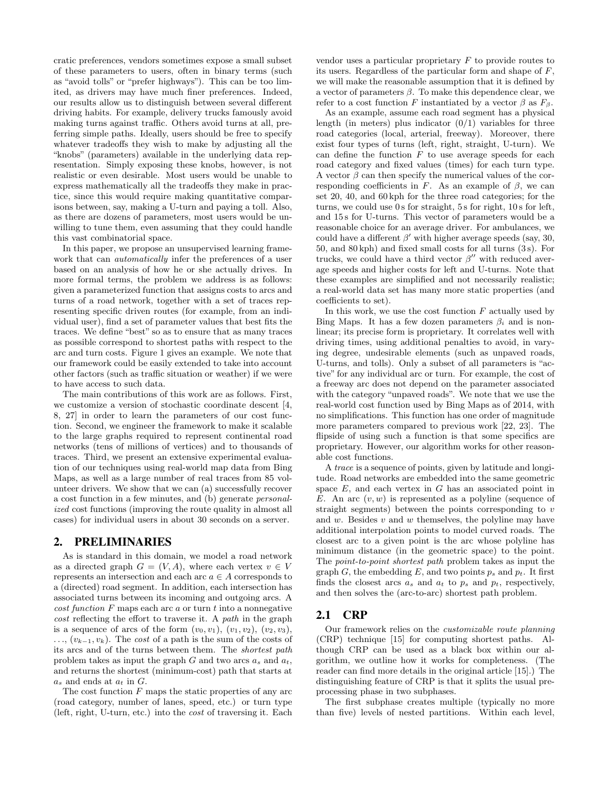cratic preferences, vendors sometimes expose a small subset of these parameters to users, often in binary terms (such as "avoid tolls" or "prefer highways"). This can be too limited, as drivers may have much finer preferences. Indeed, our results allow us to distinguish between several different driving habits. For example, delivery trucks famously avoid making turns against traffic. Others avoid turns at all, preferring simple paths. Ideally, users should be free to specify whatever tradeoffs they wish to make by adjusting all the "knobs" (parameters) available in the underlying data representation. Simply exposing these knobs, however, is not realistic or even desirable. Most users would be unable to express mathematically all the tradeoffs they make in practice, since this would require making quantitative comparisons between, say, making a U-turn and paying a toll. Also, as there are dozens of parameters, most users would be unwilling to tune them, even assuming that they could handle this vast combinatorial space.

In this paper, we propose an unsupervised learning framework that can automatically infer the preferences of a user based on an analysis of how he or she actually drives. In more formal terms, the problem we address is as follows: given a parameterized function that assigns costs to arcs and turns of a road network, together with a set of traces representing specific driven routes (for example, from an individual user), find a set of parameter values that best fits the traces. We define "best" so as to ensure that as many traces as possible correspond to shortest paths with respect to the arc and turn costs. Figure 1 gives an example. We note that our framework could be easily extended to take into account other factors (such as traffic situation or weather) if we were to have access to such data.

The main contributions of this work are as follows. First, we customize a version of stochastic coordinate descent [4, 8, 27] in order to learn the parameters of our cost function. Second, we engineer the framework to make it scalable to the large graphs required to represent continental road networks (tens of millions of vertices) and to thousands of traces. Third, we present an extensive experimental evaluation of our techniques using real-world map data from Bing Maps, as well as a large number of real traces from 85 volunteer drivers. We show that we can (a) successfully recover a cost function in a few minutes, and (b) generate personalized cost functions (improving the route quality in almost all cases) for individual users in about 30 seconds on a server.

## 2. PRELIMINARIES

As is standard in this domain, we model a road network as a directed graph  $G = (V, A)$ , where each vertex  $v \in V$ represents an intersection and each arc  $a \in A$  corresponds to a (directed) road segment. In addition, each intersection has associated turns between its incoming and outgoing arcs. A  $cost function F$  maps each arc  $a$  or turn  $t$  into a nonnegative cost reflecting the effort to traverse it. A path in the graph is a sequence of arcs of the form  $(v_0, v_1)$ ,  $(v_1, v_2)$ ,  $(v_2, v_3)$ ,  $\dots$ ,  $(v_{k-1}, v_k)$ . The *cost* of a path is the sum of the costs of its arcs and of the turns between them. The shortest path problem takes as input the graph G and two arcs  $a_s$  and  $a_t$ , and returns the shortest (minimum-cost) path that starts at  $a_s$  and ends at  $a_t$  in  $G$ .

The cost function  $F$  maps the static properties of any arc (road category, number of lanes, speed, etc.) or turn type (left, right, U-turn, etc.) into the cost of traversing it. Each vendor uses a particular proprietary  $F$  to provide routes to its users. Regardless of the particular form and shape of F, we will make the reasonable assumption that it is defined by a vector of parameters  $\beta$ . To make this dependence clear, we refer to a cost function F instantiated by a vector  $\beta$  as  $F_\beta$ .

As an example, assume each road segment has a physical length (in meters) plus indicator  $(0/1)$  variables for three road categories (local, arterial, freeway). Moreover, there exist four types of turns (left, right, straight, U-turn). We can define the function  $F$  to use average speeds for each road category and fixed values (times) for each turn type. A vector  $\beta$  can then specify the numerical values of the corresponding coefficients in F. As an example of  $\beta$ , we can set 20, 40, and 60 kph for the three road categories; for the turns, we could use 0 s for straight, 5 s for right, 10 s for left, and 15 s for U-turns. This vector of parameters would be a reasonable choice for an average driver. For ambulances, we could have a different  $\beta'$  with higher average speeds (say, 30, 50, and 80 kph) and fixed small costs for all turns (3 s). For trucks, we could have a third vector  $\beta''$  with reduced average speeds and higher costs for left and U-turns. Note that these examples are simplified and not necessarily realistic; a real-world data set has many more static properties (and coefficients to set).

In this work, we use the cost function  $F$  actually used by Bing Maps. It has a few dozen parameters  $\beta_i$  and is nonlinear; its precise form is proprietary. It correlates well with driving times, using additional penalties to avoid, in varying degree, undesirable elements (such as unpaved roads, U-turns, and tolls). Only a subset of all parameters is "active" for any individual arc or turn. For example, the cost of a freeway arc does not depend on the parameter associated with the category "unpaved roads". We note that we use the real-world cost function used by Bing Maps as of 2014, with no simplifications. This function has one order of magnitude more parameters compared to previous work [22, 23]. The flipside of using such a function is that some specifics are proprietary. However, our algorithm works for other reasonable cost functions.

A trace is a sequence of points, given by latitude and longitude. Road networks are embedded into the same geometric space  $E$ , and each vertex in  $G$  has an associated point in E. An arc  $(v, w)$  is represented as a polyline (sequence of straight segments) between the points corresponding to  $v$ and  $w$ . Besides  $v$  and  $w$  themselves, the polyline may have additional interpolation points to model curved roads. The closest arc to a given point is the arc whose polyline has minimum distance (in the geometric space) to the point. The point-to-point shortest path problem takes as input the graph G, the embedding E, and two points  $p_s$  and  $p_t$ . It first finds the closest arcs  $a_s$  and  $a_t$  to  $p_s$  and  $p_t$ , respectively, and then solves the (arc-to-arc) shortest path problem.

## 2.1 CRP

Our framework relies on the customizable route planning (CRP) technique [15] for computing shortest paths. Although CRP can be used as a black box within our algorithm, we outline how it works for completeness. (The reader can find more details in the original article [15].) The distinguishing feature of CRP is that it splits the usual preprocessing phase in two subphases.

The first subphase creates multiple (typically no more than five) levels of nested partitions. Within each level,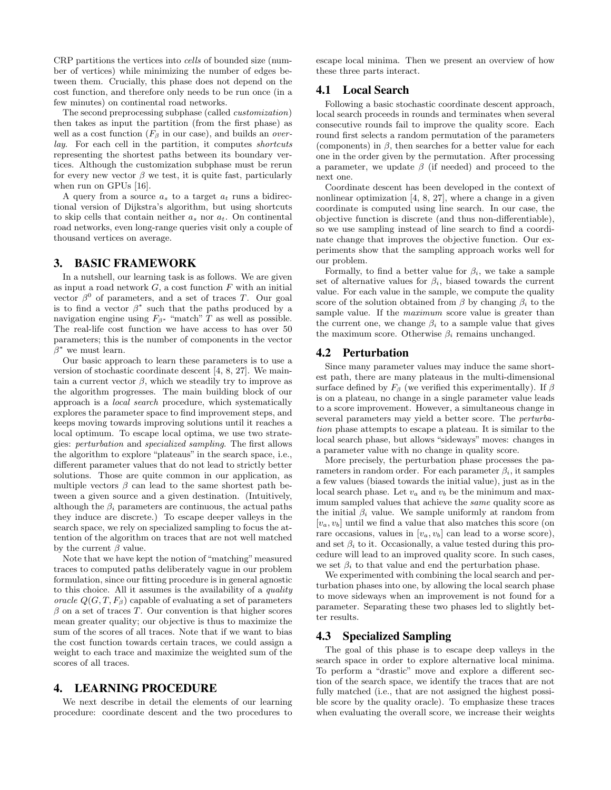CRP partitions the vertices into cells of bounded size (number of vertices) while minimizing the number of edges between them. Crucially, this phase does not depend on the cost function, and therefore only needs to be run once (in a few minutes) on continental road networks.

The second preprocessing subphase (called customization) then takes as input the partition (from the first phase) as well as a cost function ( $F_\beta$  in our case), and builds an *over*lay. For each cell in the partition, it computes shortcuts representing the shortest paths between its boundary vertices. Although the customization subphase must be rerun for every new vector  $\beta$  we test, it is quite fast, particularly when run on GPUs [16].

A query from a source  $a_s$  to a target  $a_t$  runs a bidirectional version of Dijkstra's algorithm, but using shortcuts to skip cells that contain neither  $a_s$  nor  $a_t$ . On continental road networks, even long-range queries visit only a couple of thousand vertices on average.

#### 3. BASIC FRAMEWORK

In a nutshell, our learning task is as follows. We are given as input a road network  $G$ , a cost function  $F$  with an initial vector  $\beta^0$  of parameters, and a set of traces T. Our goal is to find a vector  $\beta^*$  such that the paths produced by a navigation engine using  $F_{\beta^*}$  "match" T as well as possible. The real-life cost function we have access to has over 50 parameters; this is the number of components in the vector  $\beta^*$  we must learn.

Our basic approach to learn these parameters is to use a version of stochastic coordinate descent [4, 8, 27]. We maintain a current vector  $\beta$ , which we steadily try to improve as the algorithm progresses. The main building block of our approach is a local search procedure, which systematically explores the parameter space to find improvement steps, and keeps moving towards improving solutions until it reaches a local optimum. To escape local optima, we use two strategies: perturbation and specialized sampling. The first allows the algorithm to explore "plateaus" in the search space, i.e., different parameter values that do not lead to strictly better solutions. Those are quite common in our application, as multiple vectors  $\beta$  can lead to the same shortest path between a given source and a given destination. (Intuitively, although the  $\beta_i$  parameters are continuous, the actual paths they induce are discrete.) To escape deeper valleys in the search space, we rely on specialized sampling to focus the attention of the algorithm on traces that are not well matched by the current  $\beta$  value.

Note that we have kept the notion of "matching" measured traces to computed paths deliberately vague in our problem formulation, since our fitting procedure is in general agnostic to this choice. All it assumes is the availability of a quality oracle  $Q(G, T, F_\beta)$  capable of evaluating a set of parameters  $\beta$  on a set of traces T. Our convention is that higher scores mean greater quality; our objective is thus to maximize the sum of the scores of all traces. Note that if we want to bias the cost function towards certain traces, we could assign a weight to each trace and maximize the weighted sum of the scores of all traces.

#### 4. LEARNING PROCEDURE

We next describe in detail the elements of our learning procedure: coordinate descent and the two procedures to

escape local minima. Then we present an overview of how these three parts interact.

## 4.1 Local Search

Following a basic stochastic coordinate descent approach, local search proceeds in rounds and terminates when several consecutive rounds fail to improve the quality score. Each round first selects a random permutation of the parameters (components) in  $\beta$ , then searches for a better value for each one in the order given by the permutation. After processing a parameter, we update  $\beta$  (if needed) and proceed to the next one.

Coordinate descent has been developed in the context of nonlinear optimization [4, 8, 27], where a change in a given coordinate is computed using line search. In our case, the objective function is discrete (and thus non-differentiable), so we use sampling instead of line search to find a coordinate change that improves the objective function. Our experiments show that the sampling approach works well for our problem.

Formally, to find a better value for  $\beta_i$ , we take a sample set of alternative values for  $\beta_i$ , biased towards the current value. For each value in the sample, we compute the quality score of the solution obtained from  $\beta$  by changing  $\beta_i$  to the sample value. If the *maximum* score value is greater than the current one, we change  $\beta_i$  to a sample value that gives the maximum score. Otherwise  $\beta_i$  remains unchanged.

#### 4.2 Perturbation

Since many parameter values may induce the same shortest path, there are many plateaus in the multi-dimensional surface defined by  $F_\beta$  (we verified this experimentally). If  $\beta$ is on a plateau, no change in a single parameter value leads to a score improvement. However, a simultaneous change in several parameters may yield a better score. The perturbation phase attempts to escape a plateau. It is similar to the local search phase, but allows "sideways" moves: changes in a parameter value with no change in quality score.

More precisely, the perturbation phase processes the parameters in random order. For each parameter  $\beta_i$ , it samples a few values (biased towards the initial value), just as in the local search phase. Let  $v_a$  and  $v_b$  be the minimum and maximum sampled values that achieve the same quality score as the initial  $\beta_i$  value. We sample uniformly at random from  $[v_a, v_b]$  until we find a value that also matches this score (on rare occasions, values in  $[v_a, v_b]$  can lead to a worse score), and set  $\beta_i$  to it. Occasionally, a value tested during this procedure will lead to an improved quality score. In such cases, we set  $\beta_i$  to that value and end the perturbation phase.

We experimented with combining the local search and perturbation phases into one, by allowing the local search phase to move sideways when an improvement is not found for a parameter. Separating these two phases led to slightly better results.

#### 4.3 Specialized Sampling

The goal of this phase is to escape deep valleys in the search space in order to explore alternative local minima. To perform a "drastic" move and explore a different section of the search space, we identify the traces that are not fully matched (i.e., that are not assigned the highest possible score by the quality oracle). To emphasize these traces when evaluating the overall score, we increase their weights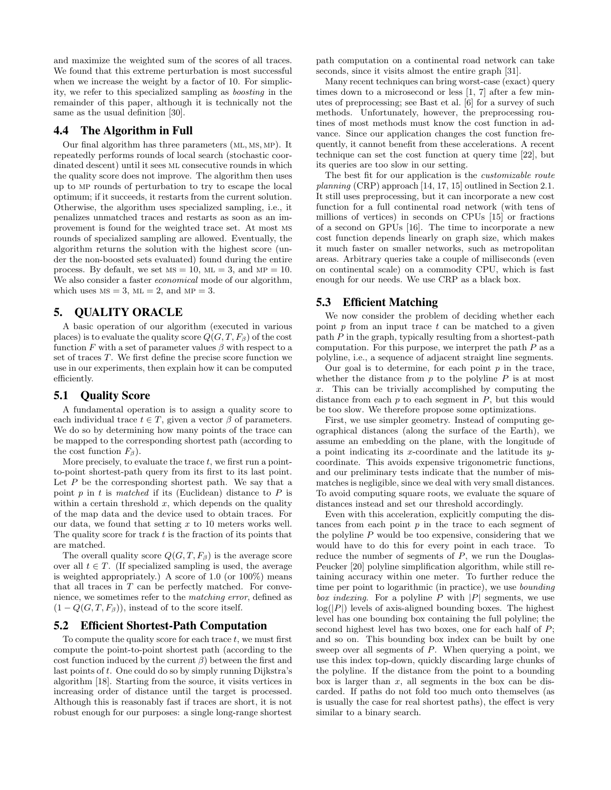and maximize the weighted sum of the scores of all traces. We found that this extreme perturbation is most successful when we increase the weight by a factor of 10. For simplicity, we refer to this specialized sampling as boosting in the remainder of this paper, although it is technically not the same as the usual definition [30].

## 4.4 The Algorithm in Full

Our final algorithm has three parameters (ml, ms, mp). It repeatedly performs rounds of local search (stochastic coordinated descent) until it sees ML consecutive rounds in which the quality score does not improve. The algorithm then uses up to mp rounds of perturbation to try to escape the local optimum; if it succeeds, it restarts from the current solution. Otherwise, the algorithm uses specialized sampling, i.e., it penalizes unmatched traces and restarts as soon as an improvement is found for the weighted trace set. At most ms rounds of specialized sampling are allowed. Eventually, the algorithm returns the solution with the highest score (under the non-boosted sets evaluated) found during the entire process. By default, we set  $MS = 10$ ,  $ML = 3$ , and  $MP = 10$ . We also consider a faster economical mode of our algorithm, which uses  $MS = 3$ ,  $ML = 2$ , and  $MP = 3$ .

## 5. QUALITY ORACLE

A basic operation of our algorithm (executed in various places) is to evaluate the quality score  $Q(G, T, F_\beta)$  of the cost function F with a set of parameter values  $\beta$  with respect to a set of traces  $T$ . We first define the precise score function we use in our experiments, then explain how it can be computed efficiently.

## 5.1 Quality Score

A fundamental operation is to assign a quality score to each individual trace  $t \in T$ , given a vector  $\beta$  of parameters. We do so by determining how many points of the trace can be mapped to the corresponding shortest path (according to the cost function  $F_\beta$ ).

More precisely, to evaluate the trace  $t$ , we first run a pointto-point shortest-path query from its first to its last point. Let  $P$  be the corresponding shortest path. We say that a point  $p$  in  $t$  is matched if its (Euclidean) distance to  $P$  is within a certain threshold  $x$ , which depends on the quality of the map data and the device used to obtain traces. For our data, we found that setting  $x$  to 10 meters works well. The quality score for track  $t$  is the fraction of its points that are matched.

The overall quality score  $Q(G, T, F_\beta)$  is the average score over all  $t \in T$ . (If specialized sampling is used, the average is weighted appropriately.) A score of 1.0 (or 100%) means that all traces in  $T$  can be perfectly matched. For convenience, we sometimes refer to the matching error, defined as  $(1 - Q(G, T, F_{\beta}))$ , instead of to the score itself.

#### 5.2 Efficient Shortest-Path Computation

To compute the quality score for each trace  $t$ , we must first compute the point-to-point shortest path (according to the cost function induced by the current  $\beta$ ) between the first and last points of t. One could do so by simply running Dijkstra's algorithm [18]. Starting from the source, it visits vertices in increasing order of distance until the target is processed. Although this is reasonably fast if traces are short, it is not robust enough for our purposes: a single long-range shortest path computation on a continental road network can take seconds, since it visits almost the entire graph [31].

Many recent techniques can bring worst-case (exact) query times down to a microsecond or less [1, 7] after a few minutes of preprocessing; see Bast et al. [6] for a survey of such methods. Unfortunately, however, the preprocessing routines of most methods must know the cost function in advance. Since our application changes the cost function frequently, it cannot benefit from these accelerations. A recent technique can set the cost function at query time [22], but its queries are too slow in our setting.

The best fit for our application is the customizable route planning (CRP) approach [14, 17, 15] outlined in Section 2.1. It still uses preprocessing, but it can incorporate a new cost function for a full continental road network (with tens of millions of vertices) in seconds on CPUs [15] or fractions of a second on GPUs [16]. The time to incorporate a new cost function depends linearly on graph size, which makes it much faster on smaller networks, such as metropolitan areas. Arbitrary queries take a couple of milliseconds (even on continental scale) on a commodity CPU, which is fast enough for our needs. We use CRP as a black box.

#### 5.3 Efficient Matching

We now consider the problem of deciding whether each point  $p$  from an input trace  $t$  can be matched to a given path  $P$  in the graph, typically resulting from a shortest-path computation. For this purpose, we interpret the path  $P$  as a polyline, i.e., a sequence of adjacent straight line segments.

Our goal is to determine, for each point  $p$  in the trace, whether the distance from  $p$  to the polyline  $P$  is at most x. This can be trivially accomplished by computing the distance from each  $p$  to each segment in  $P$ , but this would be too slow. We therefore propose some optimizations.

First, we use simpler geometry. Instead of computing geographical distances (along the surface of the Earth), we assume an embedding on the plane, with the longitude of a point indicating its x-coordinate and the latitude its  $y$ coordinate. This avoids expensive trigonometric functions, and our preliminary tests indicate that the number of mismatches is negligible, since we deal with very small distances. To avoid computing square roots, we evaluate the square of distances instead and set our threshold accordingly.

Even with this acceleration, explicitly computing the distances from each point  $p$  in the trace to each segment of the polyline P would be too expensive, considering that we would have to do this for every point in each trace. To reduce the number of segments of  $P$ , we run the Douglas-Peucker [20] polyline simplification algorithm, while still retaining accuracy within one meter. To further reduce the time per point to logarithmic (in practice), we use bounding box indexing. For a polyline P with  $|P|$  segments, we use  $log(|P|)$  levels of axis-aligned bounding boxes. The highest level has one bounding box containing the full polyline; the second highest level has two boxes, one for each half of  $P$ ; and so on. This bounding box index can be built by one sweep over all segments of P. When querying a point, we use this index top-down, quickly discarding large chunks of the polyline. If the distance from the point to a bounding box is larger than  $x$ , all segments in the box can be discarded. If paths do not fold too much onto themselves (as is usually the case for real shortest paths), the effect is very similar to a binary search.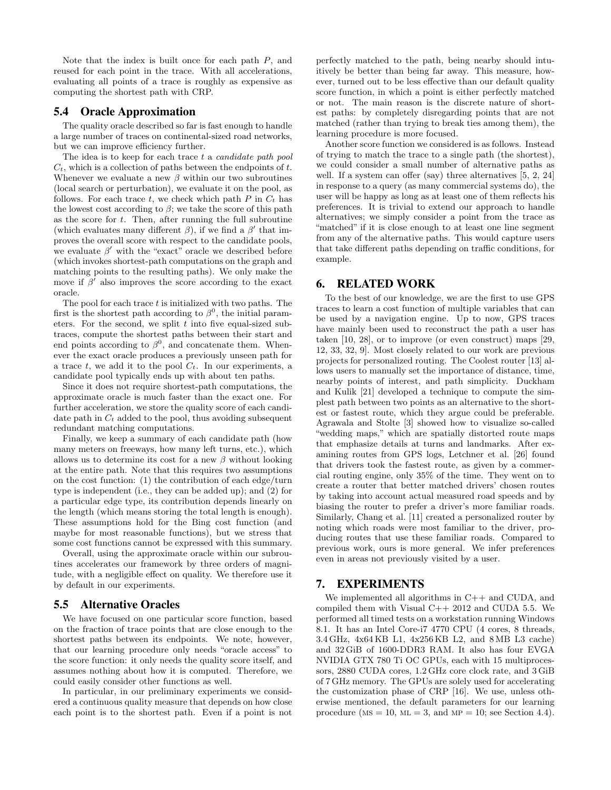Note that the index is built once for each path  $P$ , and reused for each point in the trace. With all accelerations, evaluating all points of a trace is roughly as expensive as computing the shortest path with CRP.

#### 5.4 Oracle Approximation

The quality oracle described so far is fast enough to handle a large number of traces on continental-sized road networks, but we can improve efficiency further.

The idea is to keep for each trace t a candidate path pool  $C_t$ , which is a collection of paths between the endpoints of t. Whenever we evaluate a new  $\beta$  within our two subroutines (local search or perturbation), we evaluate it on the pool, as follows. For each trace t, we check which path  $P$  in  $C_t$  has the lowest cost according to  $\beta$ ; we take the score of this path as the score for  $t$ . Then, after running the full subroutine (which evaluates many different  $\beta$ ), if we find a  $\beta'$  that improves the overall score with respect to the candidate pools, we evaluate  $\beta'$  with the "exact" oracle we described before (which invokes shortest-path computations on the graph and matching points to the resulting paths). We only make the move if  $\beta^{\prime}$  also improves the score according to the exact oracle.

The pool for each trace  $t$  is initialized with two paths. The first is the shortest path according to  $\beta^0$ , the initial parameters. For the second, we split  $t$  into five equal-sized subtraces, compute the shortest paths between their start and end points according to  $\beta^0$ , and concatenate them. Whenever the exact oracle produces a previously unseen path for a trace t, we add it to the pool  $C_t$ . In our experiments, a candidate pool typically ends up with about ten paths.

Since it does not require shortest-path computations, the approximate oracle is much faster than the exact one. For further acceleration, we store the quality score of each candidate path in  $C_t$  added to the pool, thus avoiding subsequent redundant matching computations.

Finally, we keep a summary of each candidate path (how many meters on freeways, how many left turns, etc.), which allows us to determine its cost for a new  $\beta$  without looking at the entire path. Note that this requires two assumptions on the cost function: (1) the contribution of each edge/turn type is independent (i.e., they can be added up); and (2) for a particular edge type, its contribution depends linearly on the length (which means storing the total length is enough). These assumptions hold for the Bing cost function (and maybe for most reasonable functions), but we stress that some cost functions cannot be expressed with this summary.

Overall, using the approximate oracle within our subroutines accelerates our framework by three orders of magnitude, with a negligible effect on quality. We therefore use it by default in our experiments.

#### 5.5 Alternative Oracles

We have focused on one particular score function, based on the fraction of trace points that are close enough to the shortest paths between its endpoints. We note, however, that our learning procedure only needs "oracle access" to the score function: it only needs the quality score itself, and assumes nothing about how it is computed. Therefore, we could easily consider other functions as well.

In particular, in our preliminary experiments we considered a continuous quality measure that depends on how close each point is to the shortest path. Even if a point is not perfectly matched to the path, being nearby should intuitively be better than being far away. This measure, however, turned out to be less effective than our default quality score function, in which a point is either perfectly matched or not. The main reason is the discrete nature of shortest paths: by completely disregarding points that are not matched (rather than trying to break ties among them), the learning procedure is more focused.

Another score function we considered is as follows. Instead of trying to match the trace to a single path (the shortest), we could consider a small number of alternative paths as well. If a system can offer (say) three alternatives [5, 2, 24] in response to a query (as many commercial systems do), the user will be happy as long as at least one of them reflects his preferences. It is trivial to extend our approach to handle alternatives; we simply consider a point from the trace as "matched" if it is close enough to at least one line segment from any of the alternative paths. This would capture users that take different paths depending on traffic conditions, for example.

#### 6. RELATED WORK

To the best of our knowledge, we are the first to use GPS traces to learn a cost function of multiple variables that can be used by a navigation engine. Up to now, GPS traces have mainly been used to reconstruct the path a user has taken [10, 28], or to improve (or even construct) maps [29, 12, 33, 32, 9]. Most closely related to our work are previous projects for personalized routing. The Coolest router [13] allows users to manually set the importance of distance, time, nearby points of interest, and path simplicity. Duckham and Kulik [21] developed a technique to compute the simplest path between two points as an alternative to the shortest or fastest route, which they argue could be preferable. Agrawala and Stolte [3] showed how to visualize so-called "wedding maps," which are spatially distorted route maps that emphasize details at turns and landmarks. After examining routes from GPS logs, Letchner et al. [26] found that drivers took the fastest route, as given by a commercial routing engine, only 35% of the time. They went on to create a router that better matched drivers' chosen routes by taking into account actual measured road speeds and by biasing the router to prefer a driver's more familiar roads. Similarly, Chang et al. [11] created a personalized router by noting which roads were most familiar to the driver, producing routes that use these familiar roads. Compared to previous work, ours is more general. We infer preferences even in areas not previously visited by a user.

## 7. EXPERIMENTS

We implemented all algorithms in C++ and CUDA, and compiled them with Visual  $C++ 2012$  and CUDA 5.5. We performed all timed tests on a workstation running Windows 8.1. It has an Intel Core-i7 4770 CPU (4 cores, 8 threads, 3.4 GHz, 4x64 KB L1, 4x256 KB L2, and 8 MB L3 cache) and 32 GiB of 1600-DDR3 RAM. It also has four EVGA NVIDIA GTX 780 Ti OC GPUs, each with 15 multiprocessors, 2880 CUDA cores, 1.2 GHz core clock rate, and 3 GiB of 7 GHz memory. The GPUs are solely used for accelerating the customization phase of CRP [16]. We use, unless otherwise mentioned, the default parameters for our learning procedure ( $MS = 10$ ,  $ML = 3$ , and  $MP = 10$ ; see Section 4.4).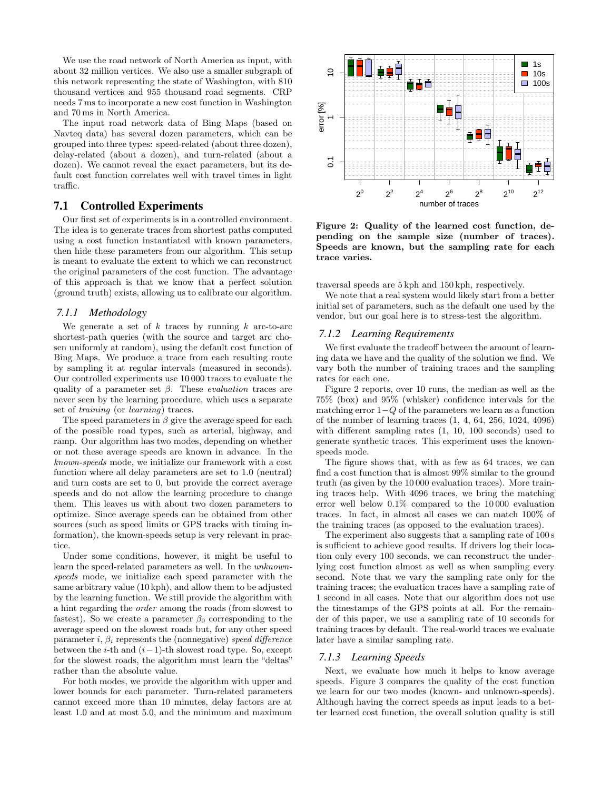We use the road network of North America as input, with about 32 million vertices. We also use a smaller subgraph of this network representing the state of Washington, with 810 thousand vertices and 955 thousand road segments. CRP needs 7 ms to incorporate a new cost function in Washington and 70 ms in North America.

The input road network data of Bing Maps (based on Navteq data) has several dozen parameters, which can be grouped into three types: speed-related (about three dozen), delay-related (about a dozen), and turn-related (about a dozen). We cannot reveal the exact parameters, but its default cost function correlates well with travel times in light traffic.

## 7.1 Controlled Experiments

Our first set of experiments is in a controlled environment. The idea is to generate traces from shortest paths computed using a cost function instantiated with known parameters, then hide these parameters from our algorithm. This setup is meant to evaluate the extent to which we can reconstruct the original parameters of the cost function. The advantage of this approach is that we know that a perfect solution (ground truth) exists, allowing us to calibrate our algorithm.

#### *7.1.1 Methodology*

We generate a set of  $k$  traces by running  $k$  arc-to-arc shortest-path queries (with the source and target arc chosen uniformly at random), using the default cost function of Bing Maps. We produce a trace from each resulting route by sampling it at regular intervals (measured in seconds). Our controlled experiments use 10 000 traces to evaluate the quality of a parameter set  $\beta$ . These *evaluation* traces are never seen by the learning procedure, which uses a separate set of training (or learning) traces.

The speed parameters in  $\beta$  give the average speed for each of the possible road types, such as arterial, highway, and ramp. Our algorithm has two modes, depending on whether or not these average speeds are known in advance. In the known-speeds mode, we initialize our framework with a cost function where all delay parameters are set to 1.0 (neutral) and turn costs are set to 0, but provide the correct average speeds and do not allow the learning procedure to change them. This leaves us with about two dozen parameters to optimize. Since average speeds can be obtained from other sources (such as speed limits or GPS tracks with timing information), the known-speeds setup is very relevant in practice.

Under some conditions, however, it might be useful to learn the speed-related parameters as well. In the unknownspeeds mode, we initialize each speed parameter with the same arbitrary value (10 kph), and allow them to be adjusted by the learning function. We still provide the algorithm with a hint regarding the order among the roads (from slowest to fastest). So we create a parameter  $\beta_0$  corresponding to the average speed on the slowest roads but, for any other speed parameter i,  $\beta_i$  represents the (nonnegative) speed difference between the *i*-th and  $(i-1)$ -th slowest road type. So, except for the slowest roads, the algorithm must learn the "deltas" rather than the absolute value.

For both modes, we provide the algorithm with upper and lower bounds for each parameter. Turn-related parameters cannot exceed more than 10 minutes, delay factors are at least 1.0 and at most 5.0, and the minimum and maximum



Figure 2: Quality of the learned cost function, depending on the sample size (number of traces). Speeds are known, but the sampling rate for each trace varies.

traversal speeds are 5 kph and 150 kph, respectively.

We note that a real system would likely start from a better initial set of parameters, such as the default one used by the vendor, but our goal here is to stress-test the algorithm.

#### *7.1.2 Learning Requirements*

We first evaluate the tradeoff between the amount of learning data we have and the quality of the solution we find. We vary both the number of training traces and the sampling rates for each one.

Figure 2 reports, over 10 runs, the median as well as the 75% (box) and 95% (whisker) confidence intervals for the matching error  $1-Q$  of the parameters we learn as a function of the number of learning traces (1, 4, 64, 256, 1024, 4096) with different sampling rates (1, 10, 100 seconds) used to generate synthetic traces. This experiment uses the knownspeeds mode.

The figure shows that, with as few as 64 traces, we can find a cost function that is almost 99% similar to the ground truth (as given by the 10 000 evaluation traces). More training traces help. With 4096 traces, we bring the matching error well below 0.1% compared to the 10 000 evaluation traces. In fact, in almost all cases we can match 100% of the training traces (as opposed to the evaluation traces).

The experiment also suggests that a sampling rate of 100 s is sufficient to achieve good results. If drivers log their location only every 100 seconds, we can reconstruct the underlying cost function almost as well as when sampling every second. Note that we vary the sampling rate only for the training traces; the evaluation traces have a sampling rate of 1 second in all cases. Note that our algorithm does not use the timestamps of the GPS points at all. For the remainder of this paper, we use a sampling rate of 10 seconds for training traces by default. The real-world traces we evaluate later have a similar sampling rate.

#### *7.1.3 Learning Speeds*

Next, we evaluate how much it helps to know average speeds. Figure 3 compares the quality of the cost function we learn for our two modes (known- and unknown-speeds). Although having the correct speeds as input leads to a better learned cost function, the overall solution quality is still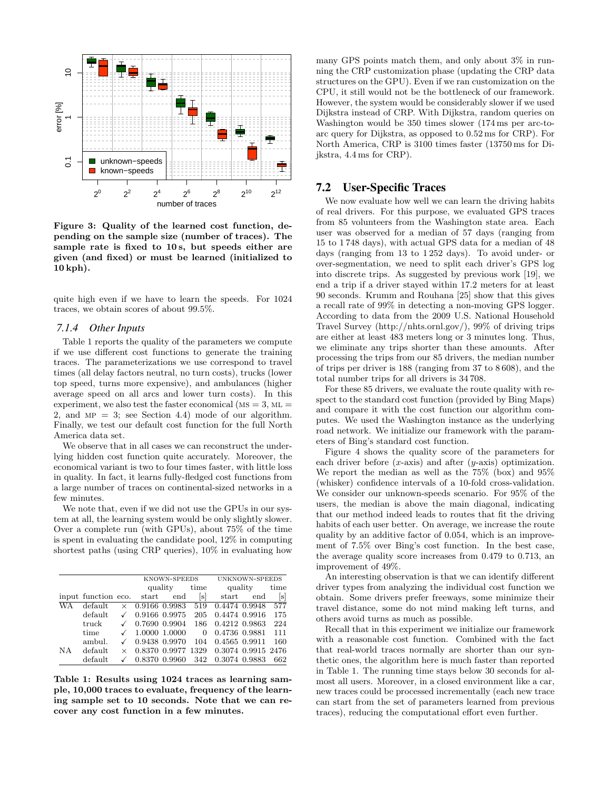

Figure 3: Quality of the learned cost function, depending on the sample size (number of traces). The sample rate is fixed to 10 s, but speeds either are given (and fixed) or must be learned (initialized to 10 kph).

quite high even if we have to learn the speeds. For 1024 traces, we obtain scores of about 99.5%.

#### *7.1.4 Other Inputs*

Table 1 reports the quality of the parameters we compute if we use different cost functions to generate the training traces. The parameterizations we use correspond to travel times (all delay factors neutral, no turn costs), trucks (lower top speed, turns more expensive), and ambulances (higher average speed on all arcs and lower turn costs). In this experiment, we also test the faster economical ( $MS = 3$ ,  $ML =$ 2, and  $MP = 3$ ; see Section 4.4) mode of our algorithm. Finally, we test our default cost function for the full North America data set.

We observe that in all cases we can reconstruct the underlying hidden cost function quite accurately. Moreover, the economical variant is two to four times faster, with little loss in quality. In fact, it learns fully-fledged cost functions from a large number of traces on continental-sized networks in a few minutes.

We note that, even if we did not use the GPUs in our system at all, the learning system would be only slightly slower. Over a complete run (with GPUs), about 75% of the time is spent in evaluating the candidate pool, 12% in computing shortest paths (using CRP queries), 10% in evaluating how

|           |                     |          | KNOWN-SPEEDS  |                    |          | UNKNOWN-SPEEDS |                    |             |
|-----------|---------------------|----------|---------------|--------------------|----------|----------------|--------------------|-------------|
|           |                     |          | quality       |                    | time     | quality        |                    | time        |
|           | input function eco. |          | start         | end                | s        | start          | end                | $ {\bf s} $ |
| WA        | default             | $\times$ | 0.9166 0.9983 |                    | 519      | 0.4474 0.9948  |                    | 577         |
|           | default             |          |               | 0.9166 0.9975      | 205      | 0.4474 0.9916  |                    | 175         |
|           | truck               |          |               | 0.7690 0.9904      | 186      | 0.4212 0.9863  |                    | 224         |
|           | time                |          |               | 1.0000 1.0000      | $\Omega$ | 0.4736 0.9881  |                    | 111         |
|           | ambul.              |          | 0.9438 0.9970 |                    | 104      | 0.4565 0.9911  |                    | 160         |
| <b>NA</b> | default             | $\times$ |               | 0.8370 0.9977 1329 |          |                | 0.3074 0.9915 2476 |             |
|           | default             |          |               | 0.8370 0.9960      | 342      | 0.3074 0.9883  |                    | 662         |

Table 1: Results using 1024 traces as learning sample, 10,000 traces to evaluate, frequency of the learning sample set to 10 seconds. Note that we can recover any cost function in a few minutes.

many GPS points match them, and only about 3% in running the CRP customization phase (updating the CRP data structures on the GPU). Even if we ran customization on the CPU, it still would not be the bottleneck of our framework. However, the system would be considerably slower if we used Dijkstra instead of CRP. With Dijkstra, random queries on Washington would be 350 times slower (174 ms per arc-toarc query for Dijkstra, as opposed to 0.52 ms for CRP). For North America, CRP is 3100 times faster (13750 ms for Dijkstra, 4.4 ms for CRP).

#### 7.2 User-Specific Traces

We now evaluate how well we can learn the driving habits of real drivers. For this purpose, we evaluated GPS traces from 85 volunteers from the Washington state area. Each user was observed for a median of 57 days (ranging from 15 to 1 748 days), with actual GPS data for a median of 48 days (ranging from 13 to 1 252 days). To avoid under- or over-segmentation, we need to split each driver's GPS log into discrete trips. As suggested by previous work [19], we end a trip if a driver stayed within 17.2 meters for at least 90 seconds. Krumm and Rouhana [25] show that this gives a recall rate of 99% in detecting a non-moving GPS logger. According to data from the 2009 U.S. National Household Travel Survey (http://nhts.ornl.gov/), 99% of driving trips are either at least 483 meters long or 3 minutes long. Thus, we eliminate any trips shorter than these amounts. After processing the trips from our 85 drivers, the median number of trips per driver is 188 (ranging from 37 to 8 608), and the total number trips for all drivers is 34 708.

For these 85 drivers, we evaluate the route quality with respect to the standard cost function (provided by Bing Maps) and compare it with the cost function our algorithm computes. We used the Washington instance as the underlying road network. We initialize our framework with the parameters of Bing's standard cost function.

Figure 4 shows the quality score of the parameters for each driver before  $(x\text{-axis})$  and after  $(y\text{-axis})$  optimization. We report the median as well as the 75% (box) and 95% (whisker) confidence intervals of a 10-fold cross-validation. We consider our unknown-speeds scenario. For 95% of the users, the median is above the main diagonal, indicating that our method indeed leads to routes that fit the driving habits of each user better. On average, we increase the route quality by an additive factor of 0.054, which is an improvement of 7.5% over Bing's cost function. In the best case, the average quality score increases from 0.479 to 0.713, an improvement of 49%.

An interesting observation is that we can identify different driver types from analyzing the individual cost function we obtain. Some drivers prefer freeways, some minimize their travel distance, some do not mind making left turns, and others avoid turns as much as possible.

Recall that in this experiment we initialize our framework with a reasonable cost function. Combined with the fact that real-world traces normally are shorter than our synthetic ones, the algorithm here is much faster than reported in Table 1. The running time stays below 30 seconds for almost all users. Moreover, in a closed environment like a car, new traces could be processed incrementally (each new trace can start from the set of parameters learned from previous traces), reducing the computational effort even further.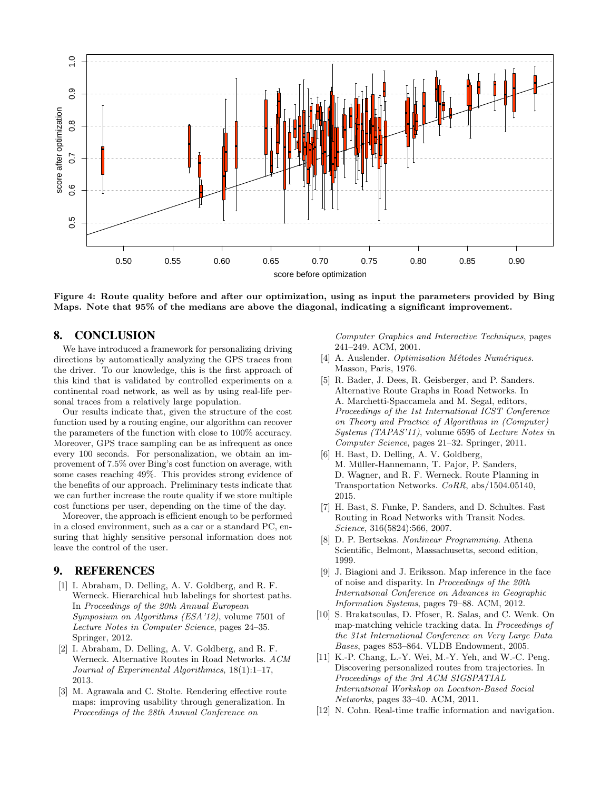

Figure 4: Route quality before and after our optimization, using as input the parameters provided by Bing Maps. Note that 95% of the medians are above the diagonal, indicating a significant improvement.

## 8. CONCLUSION

We have introduced a framework for personalizing driving directions by automatically analyzing the GPS traces from the driver. To our knowledge, this is the first approach of this kind that is validated by controlled experiments on a continental road network, as well as by using real-life personal traces from a relatively large population.

Our results indicate that, given the structure of the cost function used by a routing engine, our algorithm can recover the parameters of the function with close to 100% accuracy. Moreover, GPS trace sampling can be as infrequent as once every 100 seconds. For personalization, we obtain an improvement of 7.5% over Bing's cost function on average, with some cases reaching 49%. This provides strong evidence of the benefits of our approach. Preliminary tests indicate that we can further increase the route quality if we store multiple cost functions per user, depending on the time of the day.

Moreover, the approach is efficient enough to be performed in a closed environment, such as a car or a standard PC, ensuring that highly sensitive personal information does not leave the control of the user.

## 9. REFERENCES

- [1] I. Abraham, D. Delling, A. V. Goldberg, and R. F. Werneck. Hierarchical hub labelings for shortest paths. In Proceedings of the 20th Annual European Symposium on Algorithms (ESA'12), volume 7501 of Lecture Notes in Computer Science, pages 24–35. Springer, 2012.
- [2] I. Abraham, D. Delling, A. V. Goldberg, and R. F. Werneck. Alternative Routes in Road Networks. ACM Journal of Experimental Algorithmics, 18(1):1–17, 2013.
- [3] M. Agrawala and C. Stolte. Rendering effective route maps: improving usability through generalization. In Proceedings of the 28th Annual Conference on

Computer Graphics and Interactive Techniques, pages 241–249. ACM, 2001.

- [4] A. Auslender. *Optimisation Métodes Numériques*. Masson, Paris, 1976.
- [5] R. Bader, J. Dees, R. Geisberger, and P. Sanders. Alternative Route Graphs in Road Networks. In A. Marchetti-Spaccamela and M. Segal, editors, Proceedings of the 1st International ICST Conference on Theory and Practice of Algorithms in (Computer) Systems (TAPAS'11), volume 6595 of Lecture Notes in Computer Science, pages 21–32. Springer, 2011.
- [6] H. Bast, D. Delling, A. V. Goldberg, M. Müller-Hannemann, T. Pajor, P. Sanders, D. Wagner, and R. F. Werneck. Route Planning in Transportation Networks. CoRR, abs/1504.05140, 2015.
- [7] H. Bast, S. Funke, P. Sanders, and D. Schultes. Fast Routing in Road Networks with Transit Nodes. Science, 316(5824):566, 2007.
- [8] D. P. Bertsekas. Nonlinear Programming. Athena Scientific, Belmont, Massachusetts, second edition, 1999.
- [9] J. Biagioni and J. Eriksson. Map inference in the face of noise and disparity. In Proceedings of the 20th International Conference on Advances in Geographic Information Systems, pages 79–88. ACM, 2012.
- [10] S. Brakatsoulas, D. Pfoser, R. Salas, and C. Wenk. On map-matching vehicle tracking data. In Proceedings of the 31st International Conference on Very Large Data Bases, pages 853–864. VLDB Endowment, 2005.
- [11] K.-P. Chang, L.-Y. Wei, M.-Y. Yeh, and W.-C. Peng. Discovering personalized routes from trajectories. In Proceedings of the 3rd ACM SIGSPATIAL International Workshop on Location-Based Social Networks, pages 33–40. ACM, 2011.
- [12] N. Cohn. Real-time traffic information and navigation.